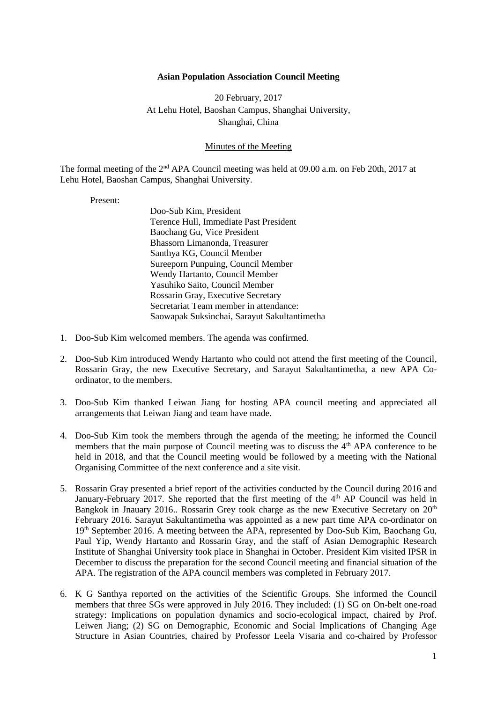## **Asian Population Association Council Meeting**

20 February, 2017 At Lehu Hotel, Baoshan Campus, Shanghai University, Shanghai, China

## Minutes of the Meeting

The formal meeting of the 2<sup>nd</sup> APA Council meeting was held at 09.00 a.m. on Feb 20th, 2017 at Lehu Hotel, Baoshan Campus, Shanghai University.

## Present:

- Doo-Sub Kim, President Terence Hull, Immediate Past President Baochang Gu, Vice President Bhassorn Limanonda, Treasurer Santhya KG, Council Member Sureeporn Punpuing, Council Member Wendy Hartanto, Council Member Yasuhiko Saito, Council Member Rossarin Gray, Executive Secretary Secretariat Team member in attendance: Saowapak Suksinchai, Sarayut Sakultantimetha
- 1. Doo-Sub Kim welcomed members. The agenda was confirmed.
- 2. Doo-Sub Kim introduced Wendy Hartanto who could not attend the first meeting of the Council, Rossarin Gray, the new Executive Secretary, and Sarayut Sakultantimetha, a new APA Coordinator, to the members.
- 3. Doo-Sub Kim thanked Leiwan Jiang for hosting APA council meeting and appreciated all arrangements that Leiwan Jiang and team have made.
- 4. Doo-Sub Kim took the members through the agenda of the meeting; he informed the Council members that the main purpose of Council meeting was to discuss the  $4<sup>th</sup>$  APA conference to be held in 2018, and that the Council meeting would be followed by a meeting with the National Organising Committee of the next conference and a site visit.
- 5. Rossarin Gray presented a brief report of the activities conducted by the Council during 2016 and January-February 2017. She reported that the first meeting of the 4<sup>th</sup> AP Council was held in Bangkok in Jnauary 2016.. Rossarin Grey took charge as the new Executive Secretary on  $20<sup>th</sup>$ February 2016. Sarayut Sakultantimetha was appointed as a new part time APA co-ordinator on 19th September 2016. A meeting between the APA, represented by Doo-Sub Kim, Baochang Gu, Paul Yip, Wendy Hartanto and Rossarin Gray, and the staff of Asian Demographic Research Institute of Shanghai University took place in Shanghai in October. President Kim visited IPSR in December to discuss the preparation for the second Council meeting and financial situation of the APA. The registration of the APA council members was completed in February 2017.
- 6. K G Santhya reported on the activities of the Scientific Groups. She informed the Council members that three SGs were approved in July 2016. They included: (1) SG on On-belt one-road strategy: Implications on population dynamics and socio-ecological impact, chaired by Prof. Leiwen Jiang; (2) SG on Demographic, Economic and Social Implications of Changing Age Structure in Asian Countries, chaired by Professor Leela Visaria and co-chaired by Professor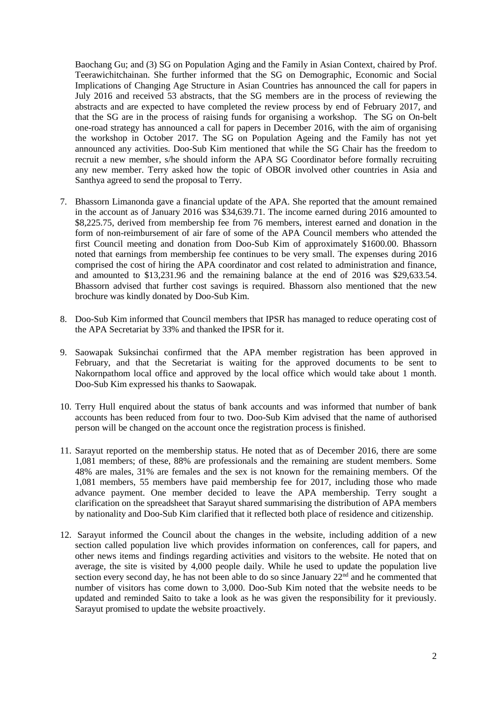Baochang Gu; and (3) SG on Population Aging and the Family in Asian Context, chaired by Prof. Teerawichitchainan. She further informed that the SG on Demographic, Economic and Social Implications of Changing Age Structure in Asian Countries has announced the call for papers in July 2016 and received 53 abstracts, that the SG members are in the process of reviewing the abstracts and are expected to have completed the review process by end of February 2017, and that the SG are in the process of raising funds for organising a workshop. The SG on On-belt one-road strategy has announced a call for papers in December 2016, with the aim of organising the workshop in October 2017. The SG on Population Ageing and the Family has not yet announced any activities. Doo-Sub Kim mentioned that while the SG Chair has the freedom to recruit a new member, s/he should inform the APA SG Coordinator before formally recruiting any new member. Terry asked how the topic of OBOR involved other countries in Asia and Santhya agreed to send the proposal to Terry.

- 7. Bhassorn Limanonda gave a financial update of the APA. She reported that the amount remained in the account as of January 2016 was \$34,639.71. The income earned during 2016 amounted to \$8,225.75, derived from membership fee from 76 members, interest earned and donation in the form of non-reimbursement of air fare of some of the APA Council members who attended the first Council meeting and donation from Doo-Sub Kim of approximately \$1600.00. Bhassorn noted that earnings from membership fee continues to be very small. The expenses during 2016 comprised the cost of hiring the APA coordinator and cost related to administration and finance, and amounted to \$13,231.96 and the remaining balance at the end of 2016 was \$29,633.54. Bhassorn advised that further cost savings is required. Bhassorn also mentioned that the new brochure was kindly donated by Doo-Sub Kim.
- 8. Doo-Sub Kim informed that Council members that IPSR has managed to reduce operating cost of the APA Secretariat by 33% and thanked the IPSR for it.
- 9. Saowapak Suksinchai confirmed that the APA member registration has been approved in February, and that the Secretariat is waiting for the approved documents to be sent to Nakornpathom local office and approved by the local office which would take about 1 month. Doo-Sub Kim expressed his thanks to Saowapak.
- 10. Terry Hull enquired about the status of bank accounts and was informed that number of bank accounts has been reduced from four to two. Doo-Sub Kim advised that the name of authorised person will be changed on the account once the registration process is finished.
- 11. Sarayut reported on the membership status. He noted that as of December 2016, there are some 1,081 members; of these, 88% are professionals and the remaining are student members. Some 48% are males, 31% are females and the sex is not known for the remaining members. Of the 1,081 members, 55 members have paid membership fee for 2017, including those who made advance payment. One member decided to leave the APA membership. Terry sought a clarification on the spreadsheet that Sarayut shared summarising the distribution of APA members by nationality and Doo-Sub Kim clarified that it reflected both place of residence and citizenship.
- 12. Sarayut informed the Council about the changes in the website, including addition of a new section called population live which provides information on conferences, call for papers, and other news items and findings regarding activities and visitors to the website. He noted that on average, the site is visited by 4,000 people daily. While he used to update the population live section every second day, he has not been able to do so since January 22<sup>nd</sup> and he commented that number of visitors has come down to 3,000. Doo-Sub Kim noted that the website needs to be updated and reminded Saito to take a look as he was given the responsibility for it previously. Sarayut promised to update the website proactively.